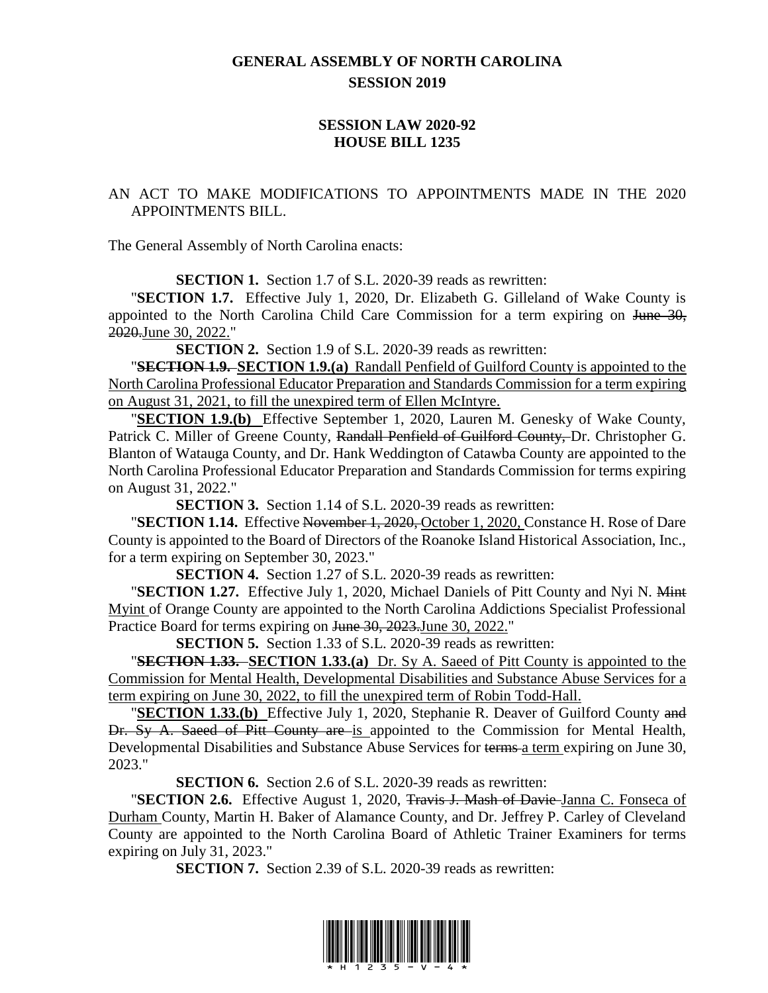## **GENERAL ASSEMBLY OF NORTH CAROLINA SESSION 2019**

## **SESSION LAW 2020-92 HOUSE BILL 1235**

## AN ACT TO MAKE MODIFICATIONS TO APPOINTMENTS MADE IN THE 2020 APPOINTMENTS BILL.

The General Assembly of North Carolina enacts:

**SECTION 1.** Section 1.7 of S.L. 2020-39 reads as rewritten:

"**SECTION 1.7.** Effective July 1, 2020, Dr. Elizabeth G. Gilleland of Wake County is appointed to the North Carolina Child Care Commission for a term expiring on June 30, 2020.June 30, 2022."

**SECTION 2.** Section 1.9 of S.L. 2020-39 reads as rewritten:

"**SECTION 1.9. SECTION 1.9.(a)** Randall Penfield of Guilford County is appointed to the North Carolina Professional Educator Preparation and Standards Commission for a term expiring on August 31, 2021, to fill the unexpired term of Ellen McIntyre.

"**SECTION 1.9.(b)** Effective September 1, 2020, Lauren M. Genesky of Wake County, Patrick C. Miller of Greene County, Randall Penfield of Guilford County, Dr. Christopher G. Blanton of Watauga County, and Dr. Hank Weddington of Catawba County are appointed to the North Carolina Professional Educator Preparation and Standards Commission for terms expiring on August 31, 2022."

**SECTION 3.** Section 1.14 of S.L. 2020-39 reads as rewritten:

"**SECTION 1.14.** Effective November 1, 2020, October 1, 2020, Constance H. Rose of Dare County is appointed to the Board of Directors of the Roanoke Island Historical Association, Inc., for a term expiring on September 30, 2023."

**SECTION 4.** Section 1.27 of S.L. 2020-39 reads as rewritten:

"**SECTION 1.27.** Effective July 1, 2020, Michael Daniels of Pitt County and Nyi N. Mint Myint of Orange County are appointed to the North Carolina Addictions Specialist Professional Practice Board for terms expiring on June 30, 2023. June 30, 2022."

**SECTION 5.** Section 1.33 of S.L. 2020-39 reads as rewritten:

"**SECTION 1.33. SECTION 1.33.(a)** Dr. Sy A. Saeed of Pitt County is appointed to the Commission for Mental Health, Developmental Disabilities and Substance Abuse Services for a term expiring on June 30, 2022, to fill the unexpired term of Robin Todd-Hall.

"**SECTION 1.33.(b)** Effective July 1, 2020, Stephanie R. Deaver of Guilford County and Dr. Sy A. Saeed of Pitt County are is appointed to the Commission for Mental Health, Developmental Disabilities and Substance Abuse Services for terms a term expiring on June 30, 2023."

**SECTION 6.** Section 2.6 of S.L. 2020-39 reads as rewritten:

"**SECTION 2.6.** Effective August 1, 2020, Travis J. Mash of Davie Janna C. Fonseca of Durham County, Martin H. Baker of Alamance County, and Dr. Jeffrey P. Carley of Cleveland County are appointed to the North Carolina Board of Athletic Trainer Examiners for terms expiring on July 31, 2023."

**SECTION 7.** Section 2.39 of S.L. 2020-39 reads as rewritten: